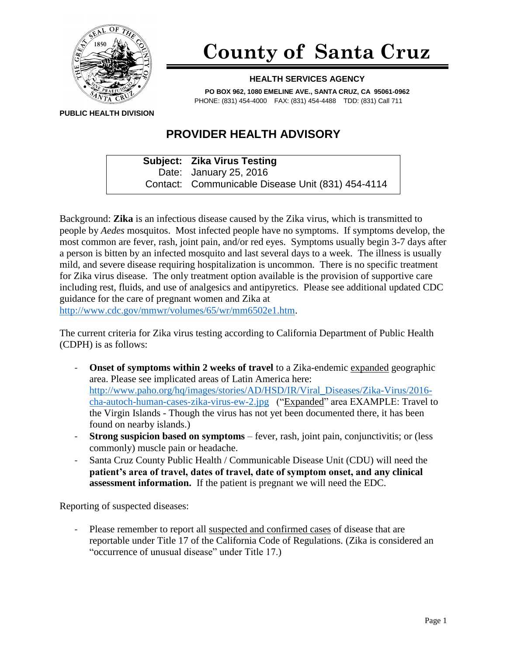

## **County of Santa Cruz**

## **HEALTH SERVICES AGENCY**

**PO BOX 962, 1080 EMELINE AVE., SANTA CRUZ, CA 95061-0962** PHONE: (831) 454-4000 FAX: (831) 454-4488 TDD: (831) Call 711

**PUBLIC HEALTH DIVISION**

## **PROVIDER HEALTH ADVISORY**

**Subject: Zika Virus Testing** Date: January 25, 2016 Contact: Communicable Disease Unit (831) 454-4114

Background: **Zika** is an infectious disease caused by the Zika virus, which is transmitted to people by *Aedes* mosquitos. Most infected people have no symptoms. If symptoms develop, the most common are fever, rash, joint pain, and/or red eyes. Symptoms usually begin 3-7 days after a person is bitten by an infected mosquito and last several days to a week. The illness is usually mild, and severe disease requiring hospitalization is uncommon. There is no specific treatment for Zika virus disease. The only treatment option available is the provision of supportive care including rest, fluids, and use of analgesics and antipyretics. Please see additional updated CDC guidance for the care of pregnant women and Zika at

[http://www.cdc.gov/mmwr/volumes/65/wr/mm6502e1.htm.](http://www.cdc.gov/mmwr/volumes/65/wr/mm6502e1.htm)

The current criteria for Zika virus testing according to California Department of Public Health (CDPH) is as follows:

- **Onset of symptoms within 2 weeks of travel** to a Zika-endemic expanded geographic area. Please see implicated areas of Latin America here: [http://www.paho.org/hq/images/stories/AD/HSD/IR/Viral\\_Diseases/Zika-Virus/2016](http://www.paho.org/hq/images/stories/AD/HSD/IR/Viral_Diseases/Zika-Virus/2016-cha-autoch-human-cases-zika-virus-ew-2.jpg) [cha-autoch-human-cases-zika-virus-ew-2.jpg](http://www.paho.org/hq/images/stories/AD/HSD/IR/Viral_Diseases/Zika-Virus/2016-cha-autoch-human-cases-zika-virus-ew-2.jpg) ("Expanded" area EXAMPLE: Travel to the Virgin Islands - Though the virus has not yet been documented there, it has been found on nearby islands.)
- **Strong suspicion based on symptoms** fever, rash, joint pain, conjunctivitis; or (less commonly) muscle pain or headache.
- Santa Cruz County Public Health / Communicable Disease Unit (CDU) will need the **patient's area of travel, dates of travel, date of symptom onset, and any clinical assessment information.** If the patient is pregnant we will need the EDC.

Reporting of suspected diseases:

Please remember to report all suspected and confirmed cases of disease that are reportable under Title 17 of the California Code of Regulations. (Zika is considered an "occurrence of unusual disease" under Title 17.)